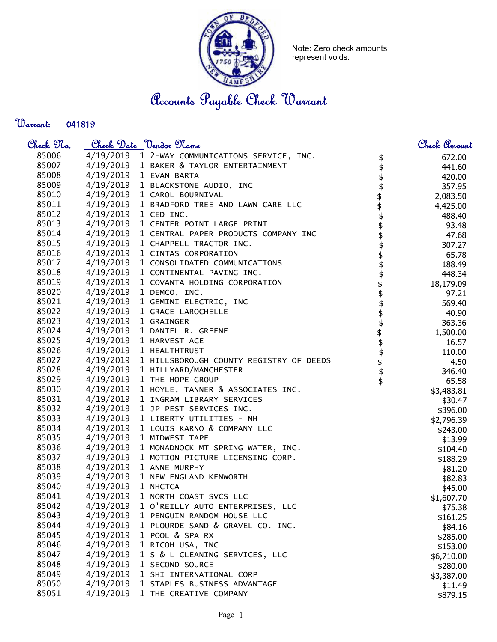

Note: Zero check amounts represent voids.

Accounts Payable Check Warrant

Warrant: 

| <u>Check No.</u> |                        | <u>Check Date "Vendor Name</u>                    |                     | <u>Check Amount</u> |
|------------------|------------------------|---------------------------------------------------|---------------------|---------------------|
| 85006            |                        | 4/19/2019 1 2-WAY COMMUNICATIONS SERVICE, INC.    | \$                  | 672.00              |
| 85007            |                        | 4/19/2019 1 BAKER & TAYLOR ENTERTAINMENT          | \$                  | 441.60              |
| 85008            |                        | 4/19/2019 1 EVAN BARTA                            |                     | 420.00              |
| 85009            |                        | 4/19/2019 1 BLACKSTONE AUDIO, INC                 |                     | 357.95              |
| 85010            |                        | 4/19/2019 1 CAROL BOURNIVAL                       |                     | 2,083.50            |
| 85011            |                        | 4/19/2019 1 BRADFORD TREE AND LAWN CARE LLC       |                     | 4,425.00            |
| 85012            | 4/19/2019 1 CED INC.   |                                                   |                     | 488.40              |
| 85013            |                        | 4/19/2019 1 CENTER POINT LARGE PRINT              |                     | 93.48               |
| 85014            |                        | 4/19/2019 1 CENTRAL PAPER PRODUCTS COMPANY INC    |                     | 47.68               |
| 85015            |                        | 4/19/2019 1 CHAPPELL TRACTOR INC.                 | \$\$\$\$\$\$\$\$\$  | 307.27              |
| 85016            |                        | 4/19/2019 1 CINTAS CORPORATION                    |                     | 65.78               |
| 85017            | 4/19/2019              | 1 CONSOLIDATED COMMUNICATIONS                     | \$<br>\$            | 188.49              |
| 85018            |                        | 4/19/2019 1 CONTINENTAL PAVING INC.               |                     | 448.34              |
| 85019            | 4/19/2019              | 1 COVANTA HOLDING CORPORATION                     |                     | 18,179.09           |
| 85020            |                        | 4/19/2019 1 DEMCO, INC.                           | \$                  | 97.21               |
| 85021            |                        | 4/19/2019 1 GEMINI ELECTRIC, INC                  |                     | 569.40              |
| 85022            | 4/19/2019              | 1 GRACE LAROCHELLE                                |                     | 40.90               |
| 85023            | 4/19/2019 1 GRAINGER   |                                                   | \$\$\$              | 363.36              |
| 85024            |                        | 4/19/2019 1 DANIEL R. GREENE                      |                     | 1,500.00            |
| 85025            |                        | 4/19/2019 1 HARVEST ACE                           |                     | 16.57               |
| 85026            |                        | 4/19/2019 1 HEALTHTRUST                           |                     | 110.00              |
| 85027            |                        | 4/19/2019 1 HILLSBOROUGH COUNTY REGISTRY OF DEEDS |                     | 4.50                |
| 85028            |                        | 4/19/2019 1 HILLYARD/MANCHESTER                   | <b>\$\$\$\$\$\$</b> | 346.40              |
| 85029            |                        | 4/19/2019 1 THE HOPE GROUP                        |                     | 65.58               |
| 85030            |                        | 4/19/2019 1 HOYLE, TANNER & ASSOCIATES INC.       |                     | \$3,483.81          |
| 85031            |                        | 4/19/2019 1 INGRAM LIBRARY SERVICES               |                     | \$30.47             |
| 85032            |                        | 4/19/2019 1 JP PEST SERVICES INC.                 |                     | \$396.00            |
| 85033            |                        | 4/19/2019 1 LIBERTY UTILITIES - NH                |                     | \$2,796.39          |
| 85034            | 4/19/2019              | 1 LOUIS KARNO & COMPANY LLC                       |                     | \$243.00            |
| 85035            | 4/19/2019              | 1 MIDWEST TAPE                                    |                     | \$13.99             |
| 85036            | 4/19/2019              | 1 MONADNOCK MT SPRING WATER, INC.                 |                     | \$104.40            |
| 85037            | 4/19/2019              | 1 MOTION PICTURE LICENSING CORP.                  |                     | \$188.29            |
| 85038            | 4/19/2019              | 1 ANNE MURPHY                                     |                     | \$81.20             |
| 85039            | 4/19/2019              | 1 NEW ENGLAND KENWORTH                            |                     | \$82.83             |
| 85040            | 4/19/2019              | 1 NHCTCA                                          |                     | \$45.00             |
| 85041            | 4/19/2019              | 1 NORTH COAST SVCS LLC                            |                     | \$1,607.70          |
| 85042            | 4/19/2019              | 1 O'REILLY AUTO ENTERPRISES, LLC                  |                     | \$75.38             |
| 85043            | 4/19/2019              | 1 PENGUIN RANDOM HOUSE LLC                        |                     | \$161.25            |
| 85044            | 4/19/2019              | 1 PLOURDE SAND & GRAVEL CO. INC.                  |                     | \$84.16             |
| 85045<br>85046   | 4/19/2019              | 1 POOL & SPA RX                                   |                     | \$285.00            |
| 85047            | 4/19/2019<br>4/19/2019 | 1 RICOH USA, INC                                  |                     | \$153.00            |
| 85048            | 4/19/2019              | 1 S & L CLEANING SERVICES, LLC                    |                     | \$6,710.00          |
| 85049            | 4/19/2019              | 1 SECOND SOURCE<br>1 SHI INTERNATIONAL CORP       |                     | \$280.00            |
| 85050            | 4/19/2019              | 1 STAPLES BUSINESS ADVANTAGE                      |                     | \$3,387.00          |
|                  | 4/19/2019              |                                                   |                     | \$11.49             |
| 85051            |                        | 1 THE CREATIVE COMPANY                            |                     | \$879.15            |